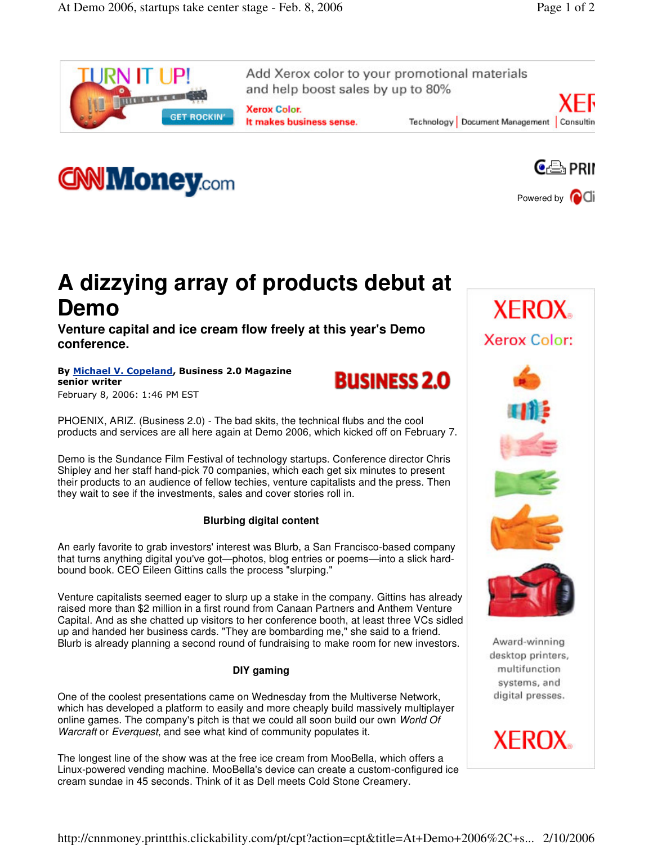

Add Xerox color to your promotional materials and help boost sales by up to 80%

**Xerox Color.** It makes business sense.









## **A dizzying array of products debut at Demo**

**Venture capital and ice cream flow freely at this year's Demo conference.**

By Michael V. Copeland, Business 2.0 Magazine senior writer February 8, 2006: 1:46 PM EST



PHOENIX, ARIZ. (Business 2.0) - The bad skits, the technical flubs and the cool products and services are all here again at Demo 2006, which kicked off on February 7.

Demo is the Sundance Film Festival of technology startups. Conference director Chris Shipley and her staff hand-pick 70 companies, which each get six minutes to present their products to an audience of fellow techies, venture capitalists and the press. Then they wait to see if the investments, sales and cover stories roll in.

## **Blurbing digital content**

An early favorite to grab investors' interest was Blurb, a San Francisco-based company that turns anything digital you've got—photos, blog entries or poems—into a slick hardbound book. CEO Eileen Gittins calls the process "slurping."

Venture capitalists seemed eager to slurp up a stake in the company. Gittins has already raised more than \$2 million in a first round from Canaan Partners and Anthem Venture Capital. And as she chatted up visitors to her conference booth, at least three VCs sidled up and handed her business cards. "They are bombarding me," she said to a friend. Blurb is already planning a second round of fundraising to make room for new investors.

## **DIY gaming**

One of the coolest presentations came on Wednesday from the Multiverse Network, which has developed a platform to easily and more cheaply build massively multiplayer online games. The company's pitch is that we could all soon build our own *World Of Warcraft* or *Everquest*, and see what kind of community populates it.

The longest line of the show was at the free ice cream from MooBella, which offers a Linux-powered vending machine. MooBella's device can create a custom-configured ice cream sundae in 45 seconds. Think of it as Dell meets Cold Stone Creamery.